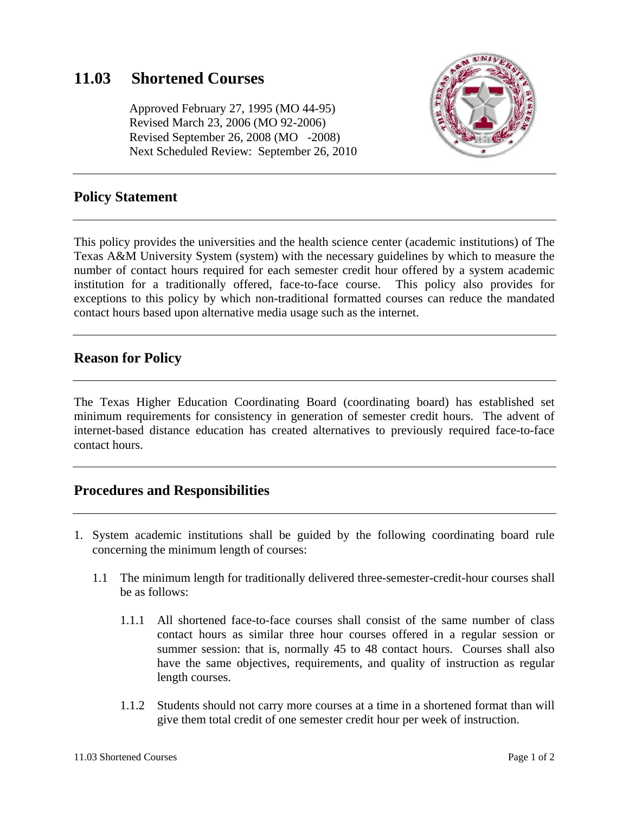# **11.03 Shortened Courses**

 Approved February 27, 1995 (MO 44-95) Revised March 23, 2006 (MO 92-2006) Revised September 26, 2008 (MO -2008) Next Scheduled Review: September 26, 2010



### **Policy Statement**

This policy provides the universities and the health science center (academic institutions) of The Texas A&M University System (system) with the necessary guidelines by which to measure the number of contact hours required for each semester credit hour offered by a system academic institution for a traditionally offered, face-to-face course. This policy also provides for exceptions to this policy by which non-traditional formatted courses can reduce the mandated contact hours based upon alternative media usage such as the internet.

### **Reason for Policy**

The Texas Higher Education Coordinating Board (coordinating board) has established set minimum requirements for consistency in generation of semester credit hours. The advent of internet-based distance education has created alternatives to previously required face-to-face contact hours.

### **Procedures and Responsibilities**

- 1. System academic institutions shall be guided by the following coordinating board rule concerning the minimum length of courses:
	- 1.1 The minimum length for traditionally delivered three-semester-credit-hour courses shall be as follows:
		- 1.1.1 All shortened face-to-face courses shall consist of the same number of class contact hours as similar three hour courses offered in a regular session or summer session: that is, normally 45 to 48 contact hours. Courses shall also have the same objectives, requirements, and quality of instruction as regular length courses.
		- 1.1.2 Students should not carry more courses at a time in a shortened format than will give them total credit of one semester credit hour per week of instruction.